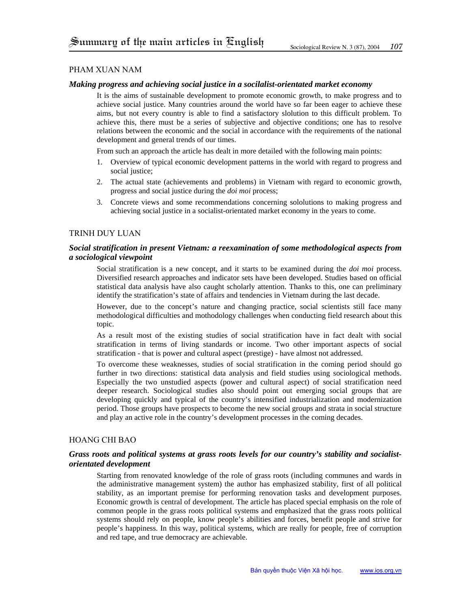## Pham Xuan Nam

### *Making progress and achieving social justice in a socilalist-orientated market economy*

It is the aims of sustainable development to promote economic growth, to make progress and to achieve social justice. Many countries around the world have so far been eager to achieve these aims, but not every country is able to find a satisfactory slolution to this difficult problem. To achieve this, there must be a series of subjective and objective conditions; one has to resolve relations between the economic and the social in accordance with the requirements of the national development and general trends of our times.

From such an approach the article has dealt in more detailed with the following main points:

- 1. Overview of typical economic development patterns in the world with regard to progress and social justice;
- 2. The actual state (achievements and problems) in Vietnam with regard to economic growth, progress and social justice during the *doi moi* process;
- 3. Concrete views and some recommendations concerning sololutions to making progress and achieving social justice in a socialist-orientated market economy in the years to come.

### Trinh duy luan

### *Social stratification in present Vietnam: a reexamination of some methodological aspects from a sociological viewpoint*

Social stratification is a new concept, and it starts to be examined during the *doi moi* process. Diversified research approaches and indicator sets have been developed. Studies based on official statistical data analysis have also caught scholarly attention. Thanks to this, one can preliminary identify the stratification's state of affairs and tendencies in Vietnam during the last decade.

However, due to the concept's nature and changing practice, social scientists still face many methodological difficulties and mothodology challenges when conducting field research about this topic.

As a result most of the existing studies of social stratification have in fact dealt with social stratification in terms of living standards or income. Two other important aspects of social stratification - that is power and cultural aspect (prestige) - have almost not addressed.

To overcome these weaknesses, studies of social stratification in the coming period should go further in two directions: statistical data analysis and field studies using sociological methods. Especially the two unstudied aspects (power and cultural aspect) of social stratification need deeper research. Sociological studies also should point out emerging social groups that are developing quickly and typical of the country's intensified industrialization and modernization period. Those groups have prospects to become the new social groups and strata in social structure and play an active role in the country's development processes in the coming decades.

### Hoang chi bao

## *Grass roots and political systems at grass roots levels for our country's stability and socialistorientated development*

Starting from renovated knowledge of the role of grass roots (including communes and wards in the administrative management system) the author has emphasized stability, first of all political stability, as an important premise for performing renovation tasks and development purposes. Economic growth is central of development. The article has placed special emphasis on the role of common people in the grass roots political systems and emphasized that the grass roots political systems should rely on people, know people's abilities and forces, benefit people and strive for people's happiness. In this way, political systems, which are really for people, free of corruption and red tape, and true democracy are achievable.